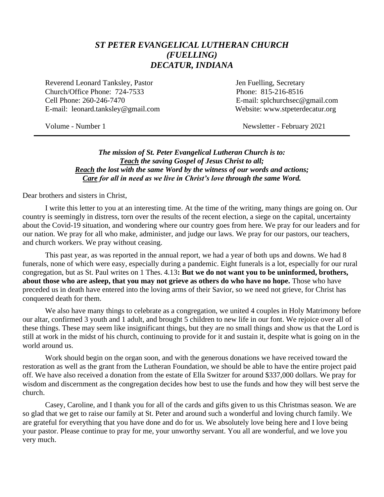## *ST PETER EVANGELICAL LUTHERAN CHURCH (FUELLING) DECATUR, INDIANA*

Reverend Leonard Tanksley, Pastor **Figure 1.1 Secretary** Jen Fuelling, Secretary Church/Office Phone: 724-7533 Phone: 815-216-8516 Cell Phone: 260-246-7470 E-mail: splchurchsec@gmail.com E-mail: leonard.tanksley@gmail.com Website: www.stpeterdecatur.org

Volume - Number 1 Newsletter - February 2021

#### *The mission of St. Peter Evangelical Lutheran Church is to: Teach the saving Gospel of Jesus Christ to all; Reach the lost with the same Word by the witness of our words and actions; Care for all in need as we live in Christ's love through the same Word.*

Dear brothers and sisters in Christ,

I write this letter to you at an interesting time. At the time of the writing, many things are going on. Our country is seemingly in distress, torn over the results of the recent election, a siege on the capital, uncertainty about the Covid-19 situation, and wondering where our country goes from here. We pray for our leaders and for our nation. We pray for all who make, administer, and judge our laws. We pray for our pastors, our teachers, and church workers. We pray without ceasing.

This past year, as was reported in the annual report, we had a year of both ups and downs. We had 8 funerals, none of which were easy, especially during a pandemic. Eight funerals is a lot, especially for our rural congregation, but as St. Paul writes on 1 Thes. 4.13**: But we do not want you to be uninformed, brothers, about those who are asleep, that you may not grieve as others do who have no hope.** Those who have preceded us in death have entered into the loving arms of their Savior, so we need not grieve, for Christ has conquered death for them.

We also have many things to celebrate as a congregation, we united 4 couples in Holy Matrimony before our altar, confirmed 3 youth and 1 adult, and brought 5 children to new life in our font. We rejoice over all of these things. These may seem like insignificant things, but they are no small things and show us that the Lord is still at work in the midst of his church, continuing to provide for it and sustain it, despite what is going on in the world around us.

Work should begin on the organ soon, and with the generous donations we have received toward the restoration as well as the grant from the Lutheran Foundation, we should be able to have the entire project paid off. We have also received a donation from the estate of Ella Switzer for around \$337,000 dollars. We pray for wisdom and discernment as the congregation decides how best to use the funds and how they will best serve the church.

Casey, Caroline, and I thank you for all of the cards and gifts given to us this Christmas season. We are so glad that we get to raise our family at St. Peter and around such a wonderful and loving church family. We are grateful for everything that you have done and do for us. We absolutely love being here and I love being your pastor. Please continue to pray for me, your unworthy servant. You all are wonderful, and we love you very much.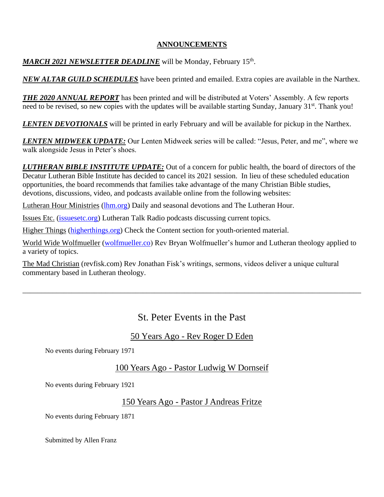#### **ANNOUNCEMENTS**

### MARCH 2021 NEWSLETTER DEADLINE will be Monday, February 15<sup>th</sup>.

*NEW ALTAR GUILD SCHEDULES* have been printed and emailed. Extra copies are available in the Narthex.

*THE 2020 ANNUAL REPORT* has been printed and will be distributed at Voters' Assembly. A few reports need to be revised, so new copies with the updates will be available starting Sunday, January 31<sup>st</sup>. Thank you!

*LENTEN DEVOTIONALS* will be printed in early February and will be available for pickup in the Narthex.

*LENTEN MIDWEEK UPDATE:* Our Lenten Midweek series will be called: "Jesus, Peter, and me", where we walk alongside Jesus in Peter's shoes.

*LUTHERAN BIBLE INSTITUTE UPDATE:* Out of a concern for public health, the board of directors of the Decatur Lutheran Bible Institute has decided to cancel its 2021 session. In lieu of these scheduled education opportunities, the board recommends that families take advantage of the many Christian Bible studies, devotions, discussions, video, and podcasts available online from the following websites:

Lutheran Hour Ministries [\(lhm.org\)](http://lhm.org/) Daily and seasonal devotions and The Lutheran Hour.

Issues Etc. [\(issuesetc.org\)](http://issuesetc.org/) Lutheran Talk Radio podcasts discussing current topics.

Higher Things [\(higherthings.org\)](http://higherthings.org/) Check the Content section for youth-oriented material.

World Wide Wolfmueller [\(wolfmueller.co\)](http://wolfmueller.co/) Rev Bryan Wolfmueller's humor and Lutheran theology applied to a variety of topics.

The Mad Christian (revfisk.com) Rev Jonathan Fisk's writings, sermons, videos deliver a unique cultural commentary based in Lutheran theology.

# St. Peter Events in the Past

\_\_\_\_\_\_\_\_\_\_\_\_\_\_\_\_\_\_\_\_\_\_\_\_\_\_\_\_\_\_\_\_\_\_\_\_\_\_\_\_\_\_\_\_\_\_\_\_\_\_\_\_\_\_\_\_\_\_\_\_\_\_\_\_\_\_\_\_\_\_\_\_\_\_\_\_\_\_\_\_\_\_\_\_\_\_\_\_\_\_

## 50 Years Ago - Rev Roger D Eden

No events during February 1971

## 100 Years Ago - Pastor Ludwig W Dornseif

No events during February 1921

## 150 Years Ago - Pastor J Andreas Fritze

No events during February 1871

Submitted by Allen Franz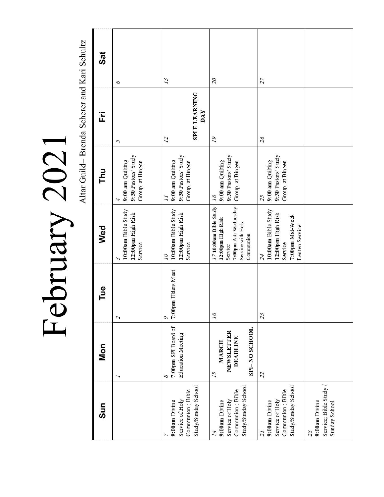$\textrm{Februar} \, 2021$ 

| Sat<br>Ë   | 9<br>5                                                      | 13<br><b>SPI E-LEARNING</b><br>DAY<br>$\overline{L}$                            | $\overline{c}$<br>19                                                                                            | $\overline{27}$<br>95                                                                          |                     |
|------------|-------------------------------------------------------------|---------------------------------------------------------------------------------|-----------------------------------------------------------------------------------------------------------------|------------------------------------------------------------------------------------------------|---------------------|
| ᄅ          | 9:30 Pastors' Study<br>9:00 am Quilting<br>Group, at Bingen | 9:30 Pastors' Study<br>9:00 am Quilting<br>Group, at Bingen<br>$\overline{l}$   | 9:30 Pastors' Study<br>9:00 am Quilting<br>Group, at Bingen<br>18                                               | 9:30 Pastors' Study<br>9:00 am Quilting<br>Group, at Bingen<br>25                              |                     |
| Wed        | 10:00am Bible Study<br>12:00pm High Risk<br>Service<br>3    | 10:00am Bible Study<br>12:00pm High Risk<br>Service<br>$\overline{\mathcal{L}}$ | 7:00pm Ash Wednesday<br>1710:00am Bible Study<br>12:00pm High Risk<br>Service with Holy<br>Communion<br>Service | 10:00am Bible Study<br>12:00pm High Risk<br>7:00pm Mid-Week<br>Lenten Service<br>Service<br>24 |                     |
| Tue        | $\overline{\mathcal{L}}$                                    | 7:00pm Elders Meet<br>$\circ$                                                   | 16                                                                                                              | 23                                                                                             |                     |
| <b>Mon</b> |                                                             | 7:00pm SPI Board of<br><b>Education Meeting</b><br>8                            | SPI-NO SCHOOL<br>NEWSLETTER<br>DEADLINE<br><b>MARCH</b><br>15                                                   | 22                                                                                             |                     |
| Sun        |                                                             | Study/Sunday School<br>Communion; Bible<br>Service of Holy<br>9:00am Divine     | Study/Sunday School<br>Communion; Bible<br>Service of Holy<br>9:00am Divine<br>$\overline{14}$                  | Study/Sunday School<br>Communion; Bible<br>Service of Holy<br>9:00am Divine<br>$\overline{1}$  | 9:00am Divine<br>28 |